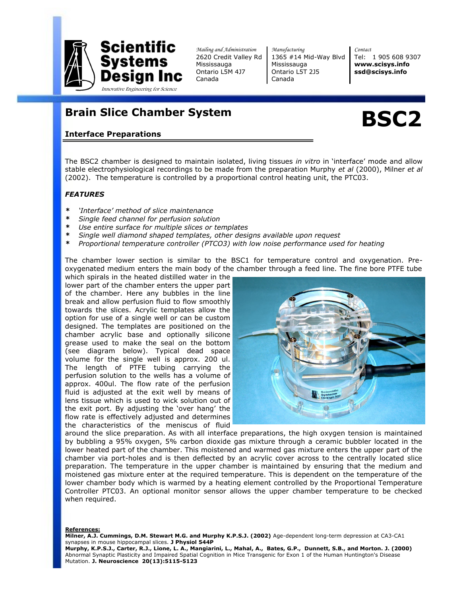

*Mailing and Administration* 2620 Credit Valley Rd Mississauga Ontario L5M 4J7 Canada

*Manufacturing* 1365 #14 Mid-Way Blvd Mississauga Ontario L5T 2J5 Canada

*Contact* Tel: 1 905 608 9307 **www.scisys.info ssd@scisys.info**

**BSC2**

## **Brain Slice Chamber System**

Innovative Engineering for Science

Design Inc

Scientific Systems

### **Interface Preparations**

The BSC2 chamber is designed to maintain isolated, living tissues *in vitro* in 'interface' mode and allow stable electrophysiological recordings to be made from the preparation Murphy *et al* (2000), Milner *et al* (2002). The temperature is controlled by a proportional control heating unit, the PTC03.

#### *FEATURES*

- *\* 'Interface' method of slice maintenance*
- *\* Single feed channel for perfusion solution*
- *\* Use entire surface for multiple slices or templates*
- *\* Single well diamond shaped templates, other designs available upon request*
- *\* Proportional temperature controller (PTCO3) with low noise performance used for heating*

The chamber lower section is similar to the BSC1 for temperature control and oxygenation. Preoxygenated medium enters the main body of the chamber through a feed line. The fine bore PTFE tube

which spirals in the heated distilled water in the lower part of the chamber enters the upper part of the chamber. Here any bubbles in the line break and allow perfusion fluid to flow smoothly towards the slices. Acrylic templates allow the option for use of a single well or can be custom designed. The templates are positioned on the chamber acrylic base and optionally silicone grease used to make the seal on the bottom (see diagram below). Typical dead space volume for the single well is approx. 200 ul. The length of PTFE tubing carrying the perfusion solution to the wells has a volume of approx. 400ul. The flow rate of the perfusion fluid is adjusted at the exit well by means of lens tissue which is used to wick solution out of the exit port. By adjusting the 'over hang' the flow rate is effectively adjusted and determines the characteristics of the meniscus of fluid



around the slice preparation. As with all interface preparations, the high oxygen tension is maintained by bubbling a 95% oxygen, 5% carbon dioxide gas mixture through a ceramic bubbler located in the lower heated part of the chamber. This moistened and warmed gas mixture enters the upper part of the chamber via port-holes and is then deflected by an acrylic cover across to the centrally located slice preparation. The temperature in the upper chamber is maintained by ensuring that the medium and moistened gas mixture enter at the required temperature. This is dependent on the temperature of the lower chamber body which is warmed by a heating element controlled by the Proportional Temperature Controller PTC03. An optional monitor sensor allows the upper chamber temperature to be checked when required.

**References:**

**Milner, A.J. Cummings, D.M. Stewart M.G. and Murphy K.P.S.J. (2002)** Age-dependent long-term depression at CA3-CA1 synapses in mouse hippocampal slices. **J Physiol 544P**

**Murphy, K.P.S.J., Carter, R.J., Lione, L. A., Mangiarini, L., Mahal, A., Bates, G.P., Dunnett, S.B., and Morton. J. (2000)** Abnormal Synaptic Plasticity and Impaired Spatial Cognition in Mice Transgenic for Exon 1 of the Human Huntington's Disease Mutation. **J. Neuroscience 20(13):5115-5123**